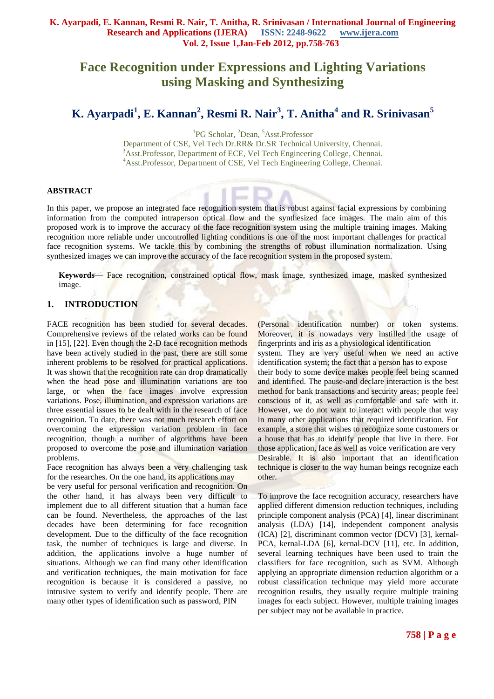# **Face Recognition under Expressions and Lighting Variations using Masking and Synthesizing**

# **K. Ayarpadi<sup>1</sup> , E. Kannan<sup>2</sup> , Resmi R. Nair<sup>3</sup> , T. Anitha<sup>4</sup> and R. Srinivasan<sup>5</sup>**

<sup>1</sup>PG Scholar, <sup>2</sup>Dean, <sup>5</sup>Asst.Professor

Department of CSE, Vel Tech Dr.RR& Dr.SR Technical University, Chennai.  $3A$ sst.Professor, Department of ECE, Vel Tech Engineering College, Chennai. <sup>4</sup>Asst.Professor, Department of CSE, Vel Tech Engineering College, Chennai.

## **ABSTRACT**

In this paper, we propose an integrated face recognition system that is robust against facial expressions by combining information from the computed intraperson optical flow and the synthesized face images. The main aim of this proposed work is to improve the accuracy of the face recognition system using the multiple training images. Making recognition more reliable under uncontrolled lighting conditions is one of the most important challenges for practical face recognition systems. We tackle this by combining the strengths of robust illumination normalization. Using synthesized images we can improve the accuracy of the face recognition system in the proposed system.

**Keywords**— Face recognition, constrained optical flow, mask image, synthesized image, masked synthesized image.

## **1. INTRODUCTION**

FACE recognition has been studied for several decades. Comprehensive reviews of the related works can be found in [15], [22]. Even though the 2-D face recognition methods have been actively studied in the past, there are still some inherent problems to be resolved for practical applications. It was shown that the recognition rate can drop dramatically when the head pose and illumination variations are too large, or when the face images involve expression variations. Pose, illumination, and expression variations are three essential issues to be dealt with in the research of face recognition. To date, there was not much research effort on overcoming the expression variation problem in face recognition, though a number of algorithms have been proposed to overcome the pose and illumination variation problems.

Face recognition has always been a very challenging task for the researches. On the one hand, its applications may

be very useful for personal verification and recognition. On the other hand, it has always been very difficult to implement due to all different situation that a human face can be found. Nevertheless, the approaches of the last decades have been determining for face recognition development. Due to the difficulty of the face recognition task, the number of techniques is large and diverse. In addition, the applications involve a huge number of situations. Although we can find many other identification and verification techniques, the main motivation for face recognition is because it is considered a passive, no intrusive system to verify and identify people. There are many other types of identification such as password, PIN

(Personal identification number) or token systems. Moreover, it is nowadays very instilled the usage of fingerprints and iris as a physiological identification system. They are very useful when we need an active identification system; the fact that a person has to expose their body to some device makes people feel being scanned and identified. The pause-and declare interaction is the best method for bank transactions and security areas; people feel conscious of it, as well as comfortable and safe with it. However, we do not want to interact with people that way in many other applications that required identification. For example, a store that wishes to recognize some customers or a house that has to identify people that live in there. For those application, face as well as voice verification are very Desirable. It is also important that an identification technique is closer to the way human beings recognize each other.

To improve the face recognition accuracy, researchers have applied different dimension reduction techniques, including principle component analysis (PCA) [4], linear discriminant analysis (LDA) [14], independent component analysis (ICA) [2], discriminant common vector (DCV) [3], kernal-PCA, kernal-LDA [6], kernal-DCV [11], etc. In addition, several learning techniques have been used to train the classifiers for face recognition, such as SVM. Although applying an appropriate dimension reduction algorithm or a robust classification technique may yield more accurate recognition results, they usually require multiple training images for each subject. However, multiple training images per subject may not be available in practice.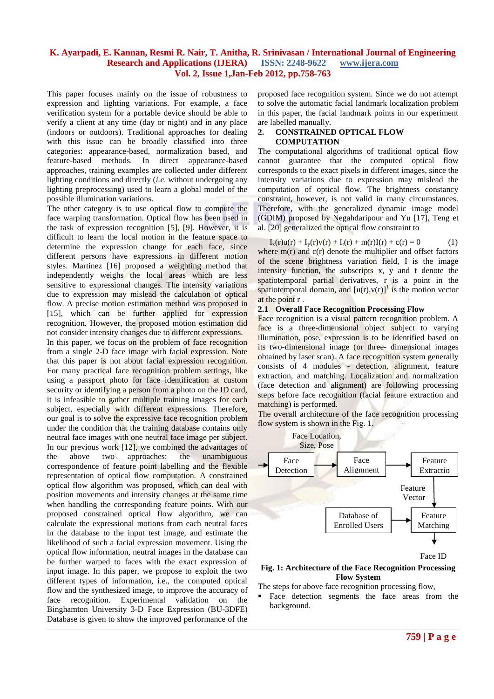## **K. Ayarpadi, E. Kannan, Resmi R. Nair, T. Anitha, R. Srinivasan / International Journal of Engineering Research and Applications (IJERA) ISSN: 2248-9622 www.ijera.com Vol. 2, Issue 1,Jan-Feb 2012, pp.758-763**

This paper focuses mainly on the issue of robustness to expression and lighting variations. For example, a face verification system for a portable device should be able to verify a client at any time (day or night) and in any place (indoors or outdoors). Traditional approaches for dealing with this issue can be broadly classified into three categories: appearance-based, normalization based, and feature-based methods. In direct appearance-based approaches, training examples are collected under different lighting conditions and directly (*i.e*. without undergoing any lighting preprocessing) used to learn a global model of the possible illumination variations.

The other category is to use optical flow to compute the face warping transformation. Optical flow has been used in the task of expression recognition  $[5]$ ,  $[9]$ . However, it is difficult to learn the local motion in the feature space to determine the expression change for each face, since different persons have expressions in different motion styles. Martinez [16] proposed a weighting method that independently weighs the local areas which are less sensitive to expressional changes. The intensity variations due to expression may mislead the calculation of optical flow. A precise motion estimation method was proposed in [15], which can be further applied for expression recognition. However, the proposed motion estimation did not consider intensity changes due to different expressions. In this paper, we focus on the problem of face recognition from a single 2-D face image with facial expression. Note that this paper is not about facial expression recognition. For many practical face recognition problem settings, like using a passport photo for face identification at custom security or identifying a person from a photo on the ID card, it is infeasible to gather multiple training images for each subject, especially with different expressions. Therefore, our goal is to solve the expressive face recognition problem under the condition that the training database contains only neutral face images with one neutral face image per subject. In our previous work [12], we combined the advantages of the above two approaches: the unambiguous correspondence of feature point labelling and the flexible representation of optical flow computation. A constrained optical flow algorithm was proposed, which can deal with position movements and intensity changes at the same time when handling the corresponding feature points. With our proposed constrained optical flow algorithm, we can calculate the expressional motions from each neutral faces in the database to the input test image, and estimate the likelihood of such a facial expression movement. Using the optical flow information, neutral images in the database can be further warped to faces with the exact expression of input image. In this paper, we propose to exploit the two different types of information, i.e., the computed optical flow and the synthesized image, to improve the accuracy of face recognition. Experimental validation on the Binghamton University 3-D Face Expression (BU-3DFE) Database is given to show the improved performance of the

proposed face recognition system. Since we do not attempt to solve the automatic facial landmark localization problem in this paper, the facial landmark points in our experiment are labelled manually.

#### **2. CONSTRAINED OPTICAL FLOW COMPUTATION**

The computational algorithms of traditional optical flow cannot guarantee that the computed optical flow corresponds to the exact pixels in different images, since the intensity variations due to expression may mislead the computation of optical flow. The brightness constancy constraint, however, is not valid in many circumstances. Therefore, with the generalized dynamic image model (GDIM) proposed by Negahdaripour and Yu [17], Teng et al. [20] generalized the optical flow constraint to

$$
I_x(r)u(r) + I_y(r)v(r) + I_t(r) + m(r)I(r) + c(r) = 0
$$
 (1)

where  $m(r)$  and  $c(r)$  denote the multiplier and offset factors of the scene brightness variation field, I is the image intensity function, the subscripts x, y and t denote the spatiotemporal partial derivatives, r is a point in the spatiotemporal domain, and  $[u(r),v(r)]^T$  is the motion vector at the point r .

#### **2.1 Overall Face Recognition Processing Flow**

Face recognition is a visual pattern recognition problem. A face is a three-dimensional object subject to varying illumination, pose, expression is to be identified based on its two-dimensional image (or three- dimensional images obtained by laser scan). A face recognition system generally consists of 4 modules - detection, alignment, feature extraction, and matching. Localization and normalization (face detection and alignment) are following processing steps before face recognition (facial feature extraction and matching) is performed.

The overall architecture of the face recognition processing flow system is shown in the Fig. 1.



## **Fig. 1: Architecture of the Face Recognition Processing Flow System**

The steps for above face recognition processing flow,

 Face detection segments the face areas from the background.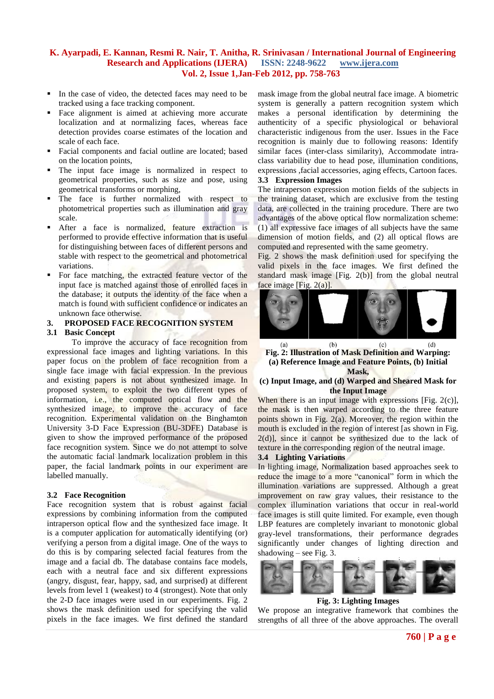# **K. Ayarpadi, E. Kannan, Resmi R. Nair, T. Anitha, R. Srinivasan / International Journal of Engineering Research and Applications (IJERA) ISSN: 2248-9622 www.ijera.com Vol. 2, Issue 1,Jan-Feb 2012, pp. 758-763**

- In the case of video, the detected faces may need to be tracked using a face tracking component.
- Face alignment is aimed at achieving more accurate localization and at normalizing faces, whereas face detection provides coarse estimates of the location and scale of each face.
- Facial components and facial outline are located; based on the location points,
- The input face image is normalized in respect to geometrical properties, such as size and pose, using geometrical transforms or morphing,
- **The face is further normalized with respect to** photometrical properties such as illumination and gray scale.
- After a face is normalized, feature extraction is performed to provide effective information that is useful for distinguishing between faces of different persons and stable with respect to the geometrical and photometrical variations.
- For face matching, the extracted feature vector of the input face is matched against those of enrolled faces in the database; it outputs the identity of the face when a match is found with sufficient confidence or indicates an unknown face otherwise.

## **3. PROPOSED FACE RECOGNITION SYSTEM**

#### **3.1 Basic Concept**

 To improve the accuracy of face recognition from expressional face images and lighting variations. In this paper focus on the problem of face recognition from a single face image with facial expression. In the previous and existing papers is not about synthesized image. In proposed system, to exploit the two different types of information, i.e., the computed optical flow and the synthesized image, to improve the accuracy of face recognition. Experimental validation on the Binghamton University 3-D Face Expression (BU-3DFE) Database is given to show the improved performance of the proposed face recognition system. Since we do not attempt to solve the automatic facial landmark localization problem in this paper, the facial landmark points in our experiment are labelled manually.

#### **3.2 Face Recognition**

Face recognition system that is robust against facial expressions by combining information from the computed intraperson optical flow and the synthesized face image. It is a computer application for automatically identifying (or) verifying a person from a digital image. One of the ways to do this is by comparing selected facial features from the image and a facial db. The database contains face models, each with a neutral face and six different expressions (angry, disgust, fear, happy, sad, and surprised) at different levels from level 1 (weakest) to 4 (strongest). Note that only the 2-D face images were used in our experiments. Fig. 2 shows the mask definition used for specifying the valid pixels in the face images. We first defined the standard

mask image from the global neutral face image. A biometric system is generally a pattern recognition system which makes a personal identification by determining the authenticity of a specific physiological or behavioral characteristic indigenous from the user. Issues in the Face recognition is mainly due to following reasons: Identify similar faces (inter-class similarity), Accommodate intraclass variability due to head pose, illumination conditions, expressions ,facial accessories, aging effects, Cartoon faces.

## **3.3 Expression Images**

The intraperson expression motion fields of the subjects in the training dataset, which are exclusive from the testing data, are collected in the training procedure. There are two advantages of the above optical flow normalization scheme: (1) all expressive face images of all subjects have the same dimension of motion fields, and (2) all optical flows are computed and represented with the same geometry.

Fig. 2 shows the mask definition used for specifying the valid pixels in the face images. We first defined the standard mask image [Fig. 2(b)] from the global neutral face image [Fig. 2(a)].



**Fig. 2: Illustration of Mask Definition and Warping: (a) Reference Image and Feature Points, (b) Initial Mask,** 

## **(c) Input Image, and (d) Warped and Sheared Mask for the Input Image**

When there is an input image with expressions [Fig. 2(c)], the mask is then warped according to the three feature points shown in Fig. 2(a). Moreover, the region within the mouth is excluded in the region of interest [as shown in Fig. 2(d)], since it cannot be synthesized due to the lack of texture in the corresponding region of the neutral image.

## **3.4 Lighting Variations**

In lighting image, Normalization based approaches seek to reduce the image to a more "canonical" form in which the illumination variations are suppressed. Although a great improvement on raw gray values, their resistance to the complex illumination variations that occur in real-world face images is still quite limited. For example, even though LBP features are completely invariant to monotonic global gray-level transformations, their performance degrades significantly under changes of lighting direction and shadowing – see Fig.  $3$ .



#### **Fig. 3: Lighting Images**

We propose an integrative framework that combines the strengths of all three of the above approaches. The overall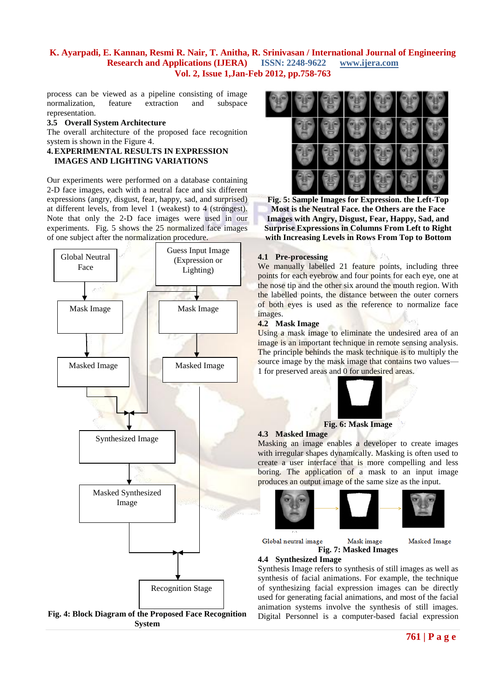# **K. Ayarpadi, E. Kannan, Resmi R. Nair, T. Anitha, R. Srinivasan / International Journal of Engineering Research and Applications (IJERA) ISSN: 2248-9622 www.ijera.com Vol. 2, Issue 1,Jan-Feb 2012, pp.758-763**

process can be viewed as a pipeline consisting of image normalization, feature extraction and subspace representation.

#### **3.5 Overall System Architecture**

The overall architecture of the proposed face recognition system is shown in the Figure 4.

### **4.EXPERIMENTAL RESULTS IN EXPRESSION IMAGES AND LIGHTING VARIATIONS**

Our experiments were performed on a database containing 2-D face images, each with a neutral face and six different expressions (angry, disgust, fear, happy, sad, and surprised) at different levels, from level 1 (weakest) to 4 (strongest). Note that only the 2-D face images were used in our experiments. Fig. 5 shows the 25 normalized face images of one subject after the normalization procedure.





**Fig. 5: Sample Images for Expression. the Left-Top Most is the Neutral Face. the Others are the Face Images with Angry, Disgust, Fear, Happy, Sad, and Surprise Expressions in Columns From Left to Right with Increasing Levels in Rows From Top to Bottom**

#### **4.1 Pre-processing**

We manually labelled 21 feature points, including three points for each eyebrow and four points for each eye, one at the nose tip and the other six around the mouth region. With the labelled points, the distance between the outer corners of both eyes is used as the reference to normalize face images.

#### **4.2 Mask Image**

Using a mask image to eliminate the undesired area of an image is an important technique in remote sensing analysis. The principle behinds the mask technique is to multiply the source image by the mask image that contains two values-1 for preserved areas and 0 for undesired areas.



#### **4.3 Masked Image**

Masking an image enables a developer to create images with irregular shapes dynamically. Masking is often used to create a user interface that is more compelling and less boring. The application of a mask to an input image produces an output image of the same size as the input.



Global neutral image Mask image **Fig. 7: Masked Images**

# **4.4 Synthesized Image**

Synthesis Image refers to synthesis of still images as well as synthesis of facial animations. For example, the technique of synthesizing facial expression images can be directly used for generating facial animations, and most of the facial animation systems involve the synthesis of still images. Digital Personnel is a computer-based facial expression

Masked Image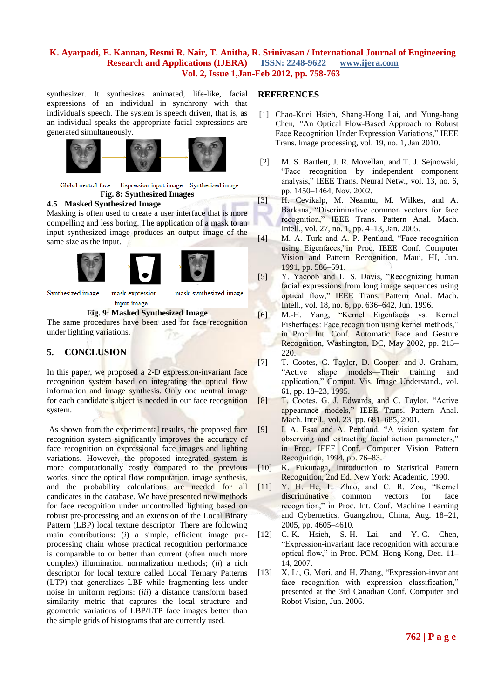## **K. Ayarpadi, E. Kannan, Resmi R. Nair, T. Anitha, R. Srinivasan / International Journal of Engineering Research and Applications (IJERA) ISSN: 2248-9622 www.ijera.com Vol. 2, Issue 1,Jan-Feb 2012, pp. 758-763**

synthesizer. It synthesizes animated, life-like, facial expressions of an individual in synchrony with that individual's speech. The system is speech driven, that is, as an individual speaks the appropriate facial expressions are generated simultaneously.



Global neutral face Expression input image Synthesized image **Fig. 8: Synthesized Images**

#### **4.5 Masked Synthesized Image**

Masking is often used to create a user interface that is more compelling and less boring. The application of a mask to an input synthesized image produces an output image of the same size as the input.



Synthesized image

mask expression mask synthesized image

**Fig. 9: Masked Synthesized Image**

input image

The same procedures have been used for face recognition under lighting variations.

# **5. CONCLUSION**

In this paper, we proposed a 2-D expression-invariant face recognition system based on integrating the optical flow information and image synthesis. Only one neutral image for each candidate subject is needed in our face recognition system.

As shown from the experimental results, the proposed face recognition system significantly improves the accuracy of face recognition on expressional face images and lighting variations. However, the proposed integrated system is more computationally costly compared to the previous works, since the optical flow computation, image synthesis, and the probability calculations are needed for all candidates in the database. We have presented new methods for face recognition under uncontrolled lighting based on robust pre-processing and an extension of the Local Binary Pattern (LBP) local texture descriptor. There are following main contributions: (*i*) a simple, efficient image preprocessing chain whose practical recognition performance is comparable to or better than current (often much more complex) illumination normalization methods; (*ii*) a rich descriptor for local texture called Local Ternary Patterns (LTP) that generalizes LBP while fragmenting less under noise in uniform regions: (*iii*) a distance transform based similarity metric that captures the local structure and geometric variations of LBP/LTP face images better than the simple grids of histograms that are currently used.

#### **REFERENCES**

- [1] Chao-Kuei Hsieh, Shang-Hong Lai, and Yung-hang Chen*, "*An Optical Flow-Based Approach to Robust Face Recognition Under Expression Variations," IEEE Trans. Image processing, vol. 19, no. 1, Jan 2010.
- [2] M. S. Bartlett, J. R. Movellan, and T. J. Sejnowski, ―Face recognition by independent component analysis," IEEE Trans. Neural Netw., vol. 13, no. 6, pp. 1450–1464, Nov. 2002.
- [3] H. Cevikalp, M. Neamtu, M. Wilkes, and A. Barkana, "Discriminative common vectors for face recognition," IEEE Trans. Pattern Anal. Mach. Intell., vol. 27, no. 1, pp. 4–13, Jan. 2005.
- [4] M. A. Turk and A. P. Pentland, "Face recognition using Eigenfaces,"in Proc. IEEE Conf. Computer Vision and Pattern Recognition, Maui, HI, Jun. 1991, pp. 586–591.
- [5] Y. Yacoob and L. S. Davis, "Recognizing human facial expressions from long image sequences using optical flow," IEEE Trans. Pattern Anal. Mach. Intell., vol. 18, no. 6, pp. 636–642, Jun. 1996.
- [6] M.-H. Yang, "Kernel Eigenfaces vs. Kernel Fisherfaces: Face recognition using kernel methods," in Proc. Int. Conf. Automatic Face and Gesture Recognition, Washington, DC, May 2002, pp. 215– 220.
- [7] T. Cootes, C. Taylor, D. Cooper, and J. Graham, "Active shape models—Their training and application," Comput. Vis. Image Understand., vol. 61, pp. 18–23, 1995.
- [8] T. Cootes, G. J. Edwards, and C. Taylor, "Active" appearance models," IEEE Trans. Pattern Anal. Mach. Intell., vol. 23, pp. 681–685, 2001.
- [9] I. A. Essa and A. Pentland, "A vision system for observing and extracting facial action parameters," in Proc. IEEE Conf. Computer Vision Pattern Recognition, 1994, pp. 76–83.
- [10] K. Fukunaga, Introduction to Statistical Pattern Recognition, 2nd Ed. New York: Academic, 1990.
- [11] Y. H. He, L. Zhao, and C. R. Zou, "Kernel discriminative common vectors for face recognition," in Proc. Int. Conf. Machine Learning and Cybernetics, Guangzhou, China, Aug. 18–21, 2005, pp. 4605–4610.
- [12] C.-K. Hsieh, S.-H. Lai, and Y.-C. Chen, ―Expression-invariant face recognition with accurate optical flow," in Proc. PCM, Hong Kong, Dec. 11-14, 2007.
- [13] X. Li, G. Mori, and H. Zhang, "Expression-invariant" face recognition with expression classification," presented at the 3rd Canadian Conf. Computer and Robot Vision, Jun. 2006.